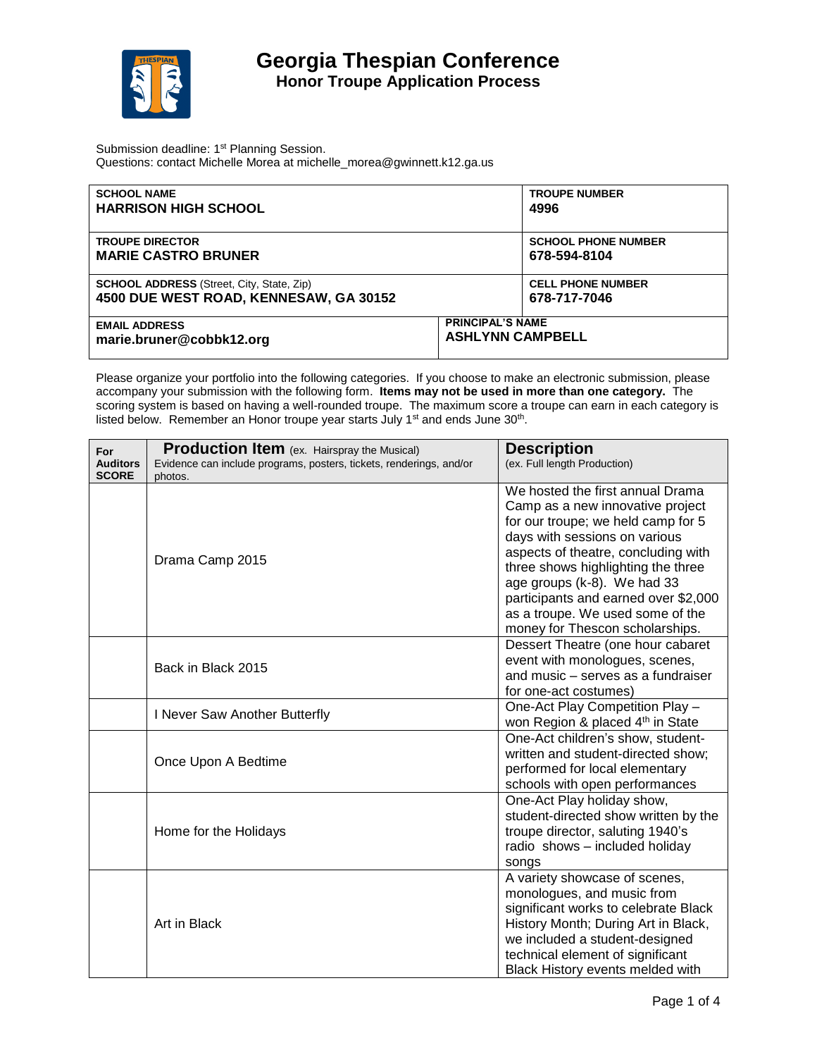

Submission deadline: 1<sup>st</sup> Planning Session. Questions: contact Michelle Morea at michelle\_morea@gwinnett.k12.ga.us

| <b>SCHOOL NAME</b>                               | <b>TROUPE NUMBER</b>       |
|--------------------------------------------------|----------------------------|
| <b>HARRISON HIGH SCHOOL</b>                      | 4996                       |
| <b>TROUPE DIRECTOR</b>                           | <b>SCHOOL PHONE NUMBER</b> |
| <b>MARIE CASTRO BRUNER</b>                       | 678-594-8104               |
| <b>SCHOOL ADDRESS</b> (Street, City, State, Zip) | <b>CELL PHONE NUMBER</b>   |
| 4500 DUE WEST ROAD, KENNESAW, GA 30152           | 678-717-7046               |
| <b>EMAIL ADDRESS</b>                             | <b>PRINCIPAL'S NAME</b>    |
| marie.bruner@cobbk12.org                         | <b>ASHLYNN CAMPBELL</b>    |

Please organize your portfolio into the following categories. If you choose to make an electronic submission, please accompany your submission with the following form. **Items may not be used in more than one category.** The scoring system is based on having a well-rounded troupe. The maximum score a troupe can earn in each category is listed below. Remember an Honor troupe year starts July 1<sup>st</sup> and ends June 30<sup>th</sup>.

| For<br><b>Auditors</b> | <b>Production Item</b> (ex. Hairspray the Musical)<br>Evidence can include programs, posters, tickets, renderings, and/or | <b>Description</b><br>(ex. Full length Production)                                                                                        |
|------------------------|---------------------------------------------------------------------------------------------------------------------------|-------------------------------------------------------------------------------------------------------------------------------------------|
| <b>SCORE</b>           | photos.                                                                                                                   |                                                                                                                                           |
|                        |                                                                                                                           | We hosted the first annual Drama<br>Camp as a new innovative project<br>for our troupe; we held camp for 5                                |
|                        | Drama Camp 2015                                                                                                           | days with sessions on various<br>aspects of theatre, concluding with<br>three shows highlighting the three<br>age groups (k-8). We had 33 |
|                        |                                                                                                                           | participants and earned over \$2,000<br>as a troupe. We used some of the                                                                  |
|                        |                                                                                                                           | money for Thescon scholarships.                                                                                                           |
|                        | Back in Black 2015                                                                                                        | Dessert Theatre (one hour cabaret<br>event with monologues, scenes,                                                                       |
|                        |                                                                                                                           | and music - serves as a fundraiser                                                                                                        |
|                        |                                                                                                                           | for one-act costumes)                                                                                                                     |
|                        | I Never Saw Another Butterfly                                                                                             | One-Act Play Competition Play -<br>won Region & placed 4 <sup>th</sup> in State                                                           |
|                        |                                                                                                                           | One-Act children's show, student-                                                                                                         |
|                        | Once Upon A Bedtime                                                                                                       | written and student-directed show;<br>performed for local elementary<br>schools with open performances                                    |
|                        |                                                                                                                           | One-Act Play holiday show,                                                                                                                |
|                        |                                                                                                                           | student-directed show written by the                                                                                                      |
|                        | Home for the Holidays                                                                                                     | troupe director, saluting 1940's                                                                                                          |
|                        |                                                                                                                           | radio shows - included holiday<br>songs                                                                                                   |
|                        |                                                                                                                           | A variety showcase of scenes,                                                                                                             |
|                        |                                                                                                                           | monologues, and music from                                                                                                                |
|                        |                                                                                                                           | significant works to celebrate Black                                                                                                      |
|                        | Art in Black                                                                                                              | History Month; During Art in Black,                                                                                                       |
|                        |                                                                                                                           | we included a student-designed                                                                                                            |
|                        |                                                                                                                           | technical element of significant                                                                                                          |
|                        |                                                                                                                           | Black History events melded with                                                                                                          |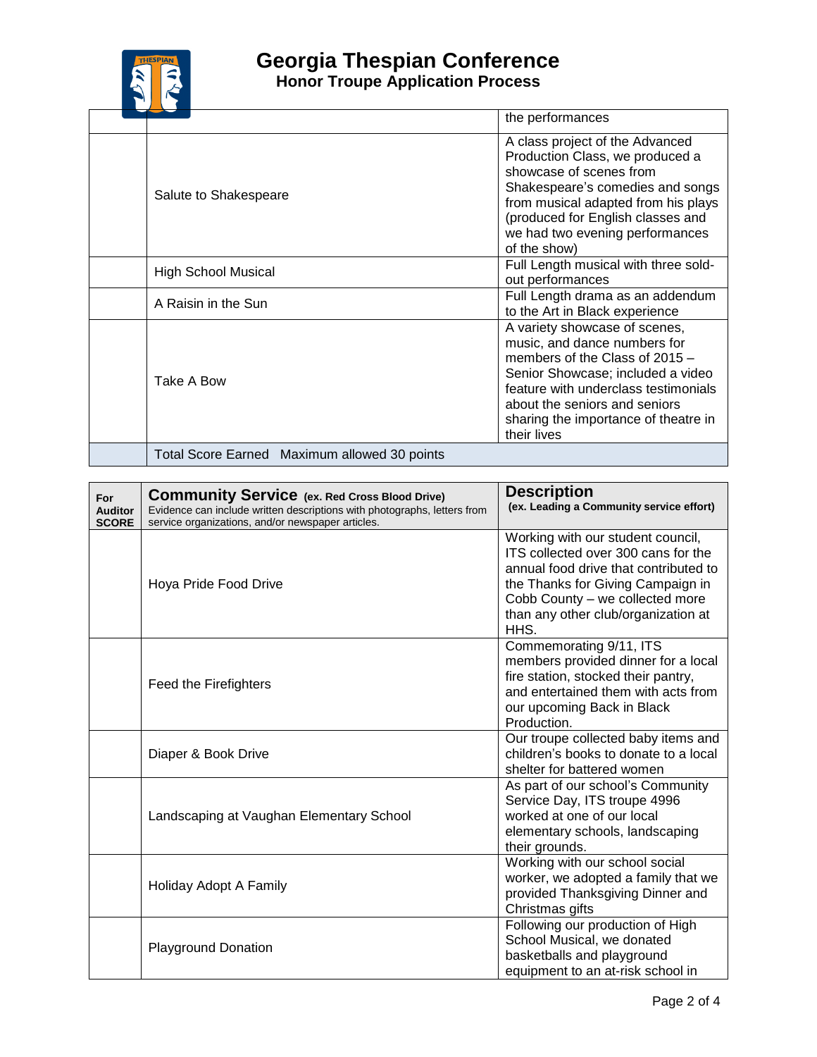

## **Georgia Thespian Conference**

**Honor Troupe Application Process**

|                                              | the performances                                                                                                                                                                                                                                                     |
|----------------------------------------------|----------------------------------------------------------------------------------------------------------------------------------------------------------------------------------------------------------------------------------------------------------------------|
| Salute to Shakespeare                        | A class project of the Advanced<br>Production Class, we produced a<br>showcase of scenes from<br>Shakespeare's comedies and songs<br>from musical adapted from his plays<br>(produced for English classes and<br>we had two evening performances<br>of the show)     |
| <b>High School Musical</b>                   | Full Length musical with three sold-<br>out performances                                                                                                                                                                                                             |
| A Raisin in the Sun                          | Full Length drama as an addendum<br>to the Art in Black experience                                                                                                                                                                                                   |
| Take A Bow                                   | A variety showcase of scenes,<br>music, and dance numbers for<br>members of the Class of 2015 -<br>Senior Showcase; included a video<br>feature with underclass testimonials<br>about the seniors and seniors<br>sharing the importance of theatre in<br>their lives |
| Total Score Earned Maximum allowed 30 points |                                                                                                                                                                                                                                                                      |

| For<br><b>Auditor</b><br><b>SCORE</b> | <b>Community Service</b> (ex. Red Cross Blood Drive)<br>Evidence can include written descriptions with photographs, letters from<br>service organizations, and/or newspaper articles. | <b>Description</b><br>(ex. Leading a Community service effort)                                                                                                                                                                           |
|---------------------------------------|---------------------------------------------------------------------------------------------------------------------------------------------------------------------------------------|------------------------------------------------------------------------------------------------------------------------------------------------------------------------------------------------------------------------------------------|
|                                       | Hoya Pride Food Drive                                                                                                                                                                 | Working with our student council,<br>ITS collected over 300 cans for the<br>annual food drive that contributed to<br>the Thanks for Giving Campaign in<br>Cobb County - we collected more<br>than any other club/organization at<br>HHS. |
|                                       | <b>Feed the Firefighters</b>                                                                                                                                                          | Commemorating 9/11, ITS<br>members provided dinner for a local<br>fire station, stocked their pantry,<br>and entertained them with acts from<br>our upcoming Back in Black<br>Production.                                                |
|                                       | Diaper & Book Drive                                                                                                                                                                   | Our troupe collected baby items and<br>children's books to donate to a local<br>shelter for battered women                                                                                                                               |
|                                       | Landscaping at Vaughan Elementary School                                                                                                                                              | As part of our school's Community<br>Service Day, ITS troupe 4996<br>worked at one of our local<br>elementary schools, landscaping<br>their grounds.                                                                                     |
|                                       | Holiday Adopt A Family                                                                                                                                                                | Working with our school social<br>worker, we adopted a family that we<br>provided Thanksgiving Dinner and<br>Christmas gifts                                                                                                             |
|                                       | <b>Playground Donation</b>                                                                                                                                                            | Following our production of High<br>School Musical, we donated<br>basketballs and playground<br>equipment to an at-risk school in                                                                                                        |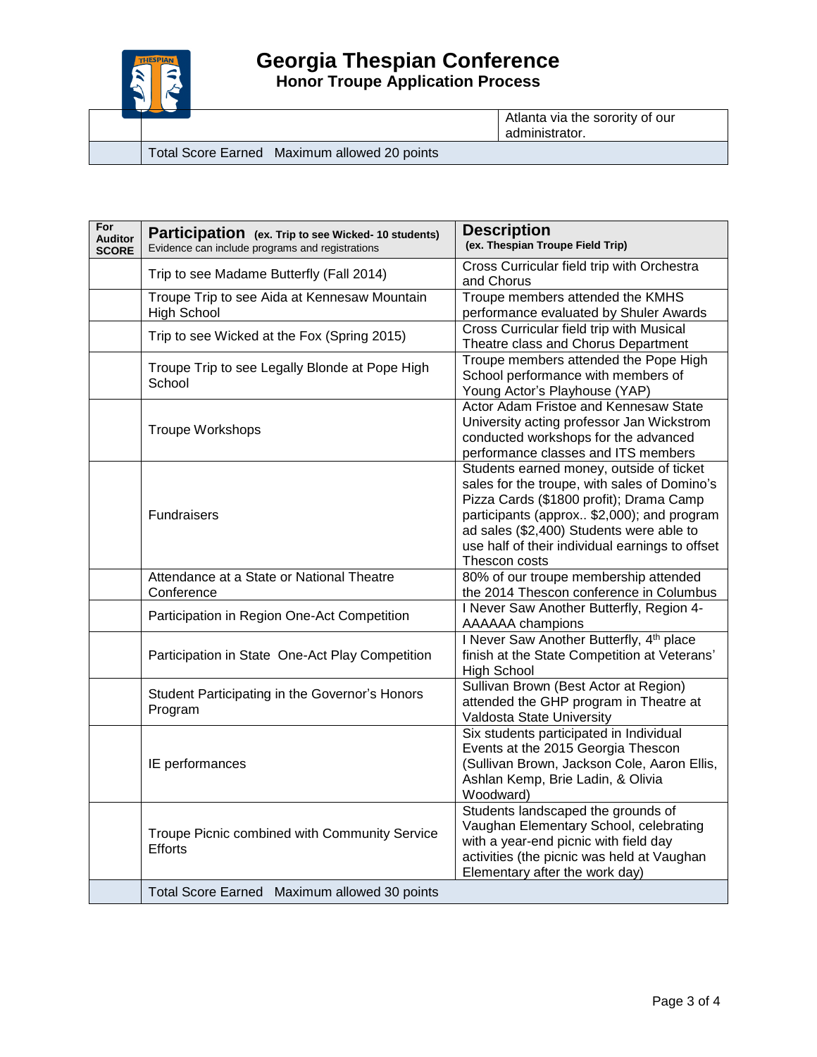

**Honor Troupe Application Process**

Atlanta via the sorority of our administrator.

Total Score Earned Maximum allowed 20 points

| For<br><b>Auditor</b><br><b>SCORE</b> | Participation (ex. Trip to see Wicked- 10 students)<br>Evidence can include programs and registrations | <b>Description</b><br>(ex. Thespian Troupe Field Trip)                                                                                                                                                                                                                                            |
|---------------------------------------|--------------------------------------------------------------------------------------------------------|---------------------------------------------------------------------------------------------------------------------------------------------------------------------------------------------------------------------------------------------------------------------------------------------------|
|                                       | Trip to see Madame Butterfly (Fall 2014)                                                               | Cross Curricular field trip with Orchestra<br>and Chorus                                                                                                                                                                                                                                          |
|                                       | Troupe Trip to see Aida at Kennesaw Mountain<br><b>High School</b>                                     | Troupe members attended the KMHS<br>performance evaluated by Shuler Awards                                                                                                                                                                                                                        |
|                                       | Trip to see Wicked at the Fox (Spring 2015)                                                            | Cross Curricular field trip with Musical<br>Theatre class and Chorus Department                                                                                                                                                                                                                   |
|                                       | Troupe Trip to see Legally Blonde at Pope High<br>School                                               | Troupe members attended the Pope High<br>School performance with members of<br>Young Actor's Playhouse (YAP)                                                                                                                                                                                      |
|                                       | <b>Troupe Workshops</b>                                                                                | Actor Adam Fristoe and Kennesaw State<br>University acting professor Jan Wickstrom<br>conducted workshops for the advanced<br>performance classes and ITS members                                                                                                                                 |
|                                       | <b>Fundraisers</b>                                                                                     | Students earned money, outside of ticket<br>sales for the troupe, with sales of Domino's<br>Pizza Cards (\$1800 profit); Drama Camp<br>participants (approx \$2,000); and program<br>ad sales (\$2,400) Students were able to<br>use half of their individual earnings to offset<br>Thescon costs |
|                                       | Attendance at a State or National Theatre<br>Conference                                                | 80% of our troupe membership attended<br>the 2014 Thescon conference in Columbus                                                                                                                                                                                                                  |
|                                       | Participation in Region One-Act Competition                                                            | I Never Saw Another Butterfly, Region 4-<br><b>AAAAAA</b> champions                                                                                                                                                                                                                               |
|                                       | Participation in State One-Act Play Competition                                                        | I Never Saw Another Butterfly, 4th place<br>finish at the State Competition at Veterans'<br><b>High School</b>                                                                                                                                                                                    |
|                                       | Student Participating in the Governor's Honors<br>Program                                              | Sullivan Brown (Best Actor at Region)<br>attended the GHP program in Theatre at<br>Valdosta State University                                                                                                                                                                                      |
|                                       | IE performances                                                                                        | Six students participated in Individual<br>Events at the 2015 Georgia Thescon<br>(Sullivan Brown, Jackson Cole, Aaron Ellis,<br>Ashlan Kemp, Brie Ladin, & Olivia<br>Woodward)                                                                                                                    |
|                                       | Troupe Picnic combined with Community Service<br>Efforts                                               | Students landscaped the grounds of<br>Vaughan Elementary School, celebrating<br>with a year-end picnic with field day<br>activities (the picnic was held at Vaughan<br>Elementary after the work day)                                                                                             |
|                                       | Total Score Earned Maximum allowed 30 points                                                           |                                                                                                                                                                                                                                                                                                   |